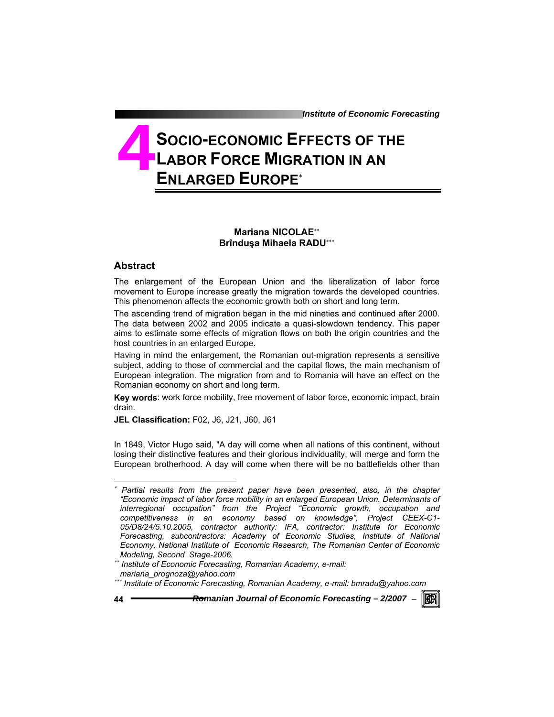*Institute of Economic Forecasting*

**IRERI** 

# **SOCIO-ECONOMIC EFFECTS OF THE LABOR FORCE MIGRATION IN AN ENLARGED EUROPE**<sup>∗</sup> **4**

## **Mariana NICOLAE**∗∗ **Brînduşa Mihaela RADU**∗∗∗

### **Abstract**

 $\overline{a}$ 

The enlargement of the European Union and the liberalization of labor force movement to Europe increase greatly the migration towards the developed countries. This phenomenon affects the economic growth both on short and long term.

The ascending trend of migration began in the mid nineties and continued after 2000. The data between 2002 and 2005 indicate a quasi-slowdown tendency. This paper aims to estimate some effects of migration flows on both the origin countries and the host countries in an enlarged Europe.

Having in mind the enlargement, the Romanian out-migration represents a sensitive subject, adding to those of commercial and the capital flows, the main mechanism of European integration. The migration from and to Romania will have an effect on the Romanian economy on short and long term.

**Key words**: work force mobility, free movement of labor force, economic impact, brain drain.

**JEL Classification:** F02, J6, J21, J60, J61

In 1849, Victor Hugo said, "A day will come when all nations of this continent, without losing their distinctive features and their glorious individuality, will merge and form the European brotherhood. A day will come when there will be no battlefields other than

<sup>∗</sup> *Partial results from the present paper have been presented, also, in the chapter "Economic impact of labor force mobility in an enlarged European Union. Determinants of interregional occupation" from the Project "Economic growth, occupation and competitiveness in an economy based on knowledge", Project CEEX-C1- 05/D8/24/5.10.2005, contractor authority: IFA, contractor: Institute for Economic Forecasting, subcontractors: Academy of Economic Studies, Institute of National Economy, National Institute of Economic Research, The Romanian Center of Economic Modeling, Second Stage-2006.* 

<sup>∗∗</sup> *Institute of Economic Forecasting, Romanian Academy, e-mail:* 

*mariana\_prognoza@yahoo.com* 

<sup>∗∗∗</sup> *Institute of Economic Forecasting, Romanian Academy, e-mail: bmradu@yahoo.com*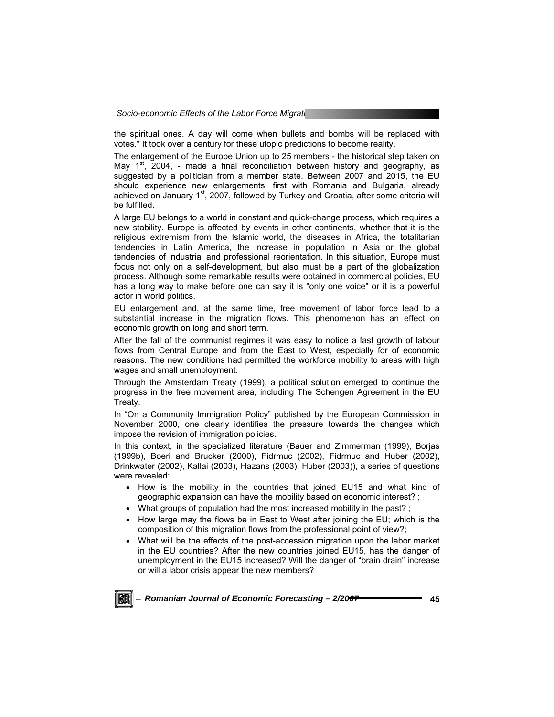the spiritual ones. A day will come when bullets and bombs will be replaced with votes." It took over a century for these utopic predictions to become reality.

The enlargement of the Europe Union up to 25 members - the historical step taken on May  $1<sup>st</sup>$ , 2004, - made a final reconciliation between history and geography, as suggested by a politician from a member state. Between 2007 and 2015, the EU should experience new enlargements, first with Romania and Bulgaria, already achieved on January 1<sup>st</sup>, 2007, followed by Turkey and Croatia, after some criteria will be fulfilled.

A large EU belongs to a world in constant and quick-change process, which requires a new stability. Europe is affected by events in other continents, whether that it is the religious extremism from the Islamic world, the diseases in Africa, the totalitarian tendencies in Latin America, the increase in population in Asia or the global tendencies of industrial and professional reorientation. In this situation, Europe must focus not only on a self-development, but also must be a part of the globalization process. Although some remarkable results were obtained in commercial policies, EU has a long way to make before one can say it is "only one voice" or it is a powerful actor in world politics.

EU enlargement and, at the same time, free movement of labor force lead to a substantial increase in the migration flows. This phenomenon has an effect on economic growth on long and short term.

After the fall of the communist regimes it was easy to notice a fast growth of labour flows from Central Europe and from the East to West, especially for of economic reasons. The new conditions had permitted the workforce mobility to areas with high wages and small unemployment.

Through the Amsterdam Treaty (1999), a political solution emerged to continue the progress in the free movement area, including The Schengen Agreement in the EU Treaty.

In "On a Community Immigration Policy" published by the European Commission in November 2000, one clearly identifies the pressure towards the changes which impose the revision of immigration policies.

In this context, in the specialized literature (Bauer and Zimmerman (1999), Borjas (1999b), Boeri and Brucker (2000), Fidrmuc (2002), Fidrmuc and Huber (2002), Drinkwater (2002), Kallai (2003), Hazans (2003), Huber (2003)), a series of questions were revealed:

- How is the mobility in the countries that joined EU15 and what kind of geographic expansion can have the mobility based on economic interest? ;
- What groups of population had the most increased mobility in the past? ;
- How large may the flows be in East to West after joining the EU; which is the composition of this migration flows from the professional point of view?;
- What will be the effects of the post-accession migration upon the labor market in the EU countries? After the new countries joined EU15, has the danger of unemployment in the EU15 increased? Will the danger of "brain drain" increase or will a labor crisis appear the new members?

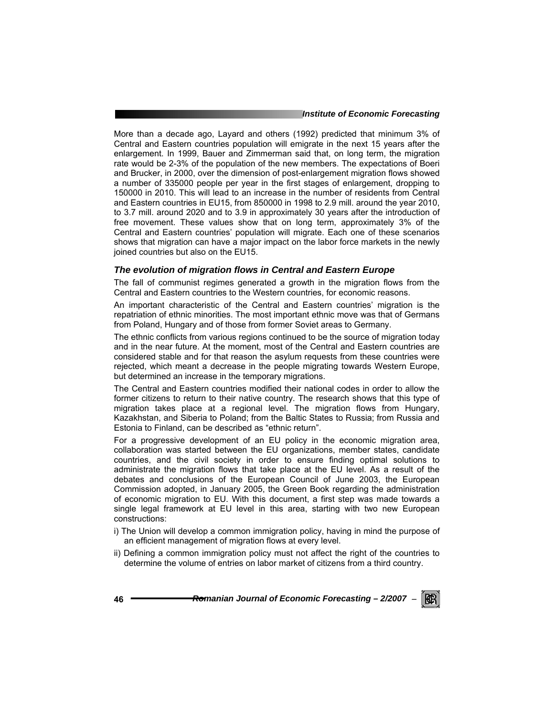#### *Institute of Economic Forecasting*

More than a decade ago, Layard and others (1992) predicted that minimum 3% of Central and Eastern countries population will emigrate in the next 15 years after the enlargement. In 1999, Bauer and Zimmerman said that, on long term, the migration rate would be 2-3% of the population of the new members. The expectations of Boeri and Brucker, in 2000, over the dimension of post-enlargement migration flows showed a number of 335000 people per year in the first stages of enlargement, dropping to 150000 in 2010. This will lead to an increase in the number of residents from Central and Eastern countries in EU15, from 850000 in 1998 to 2.9 mill. around the year 2010, to 3.7 mill. around 2020 and to 3.9 in approximately 30 years after the introduction of free movement. These values show that on long term, approximately 3% of the Central and Eastern countries' population will migrate. Each one of these scenarios shows that migration can have a major impact on the labor force markets in the newly joined countries but also on the EU15.

#### *The evolution of migration flows in Central and Eastern Europe*

The fall of communist regimes generated a growth in the migration flows from the Central and Eastern countries to the Western countries, for economic reasons.

An important characteristic of the Central and Eastern countries' migration is the repatriation of ethnic minorities. The most important ethnic move was that of Germans from Poland, Hungary and of those from former Soviet areas to Germany.

The ethnic conflicts from various regions continued to be the source of migration today and in the near future. At the moment, most of the Central and Eastern countries are considered stable and for that reason the asylum requests from these countries were rejected, which meant a decrease in the people migrating towards Western Europe, but determined an increase in the temporary migrations.

The Central and Eastern countries modified their national codes in order to allow the former citizens to return to their native country. The research shows that this type of migration takes place at a regional level. The migration flows from Hungary, Kazakhstan, and Siberia to Poland; from the Baltic States to Russia; from Russia and Estonia to Finland, can be described as "ethnic return".

For a progressive development of an EU policy in the economic migration area, collaboration was started between the EU organizations, member states, candidate countries, and the civil society in order to ensure finding optimal solutions to administrate the migration flows that take place at the EU level. As a result of the debates and conclusions of the European Council of June 2003, the European Commission adopted, in January 2005, the Green Book regarding the administration of economic migration to EU. With this document, a first step was made towards a single legal framework at EU level in this area, starting with two new European constructions:

- i) The Union will develop a common immigration policy, having in mind the purpose of an efficient management of migration flows at every level.
- ii) Defining a common immigration policy must not affect the right of the countries to determine the volume of entries on labor market of citizens from a third country.

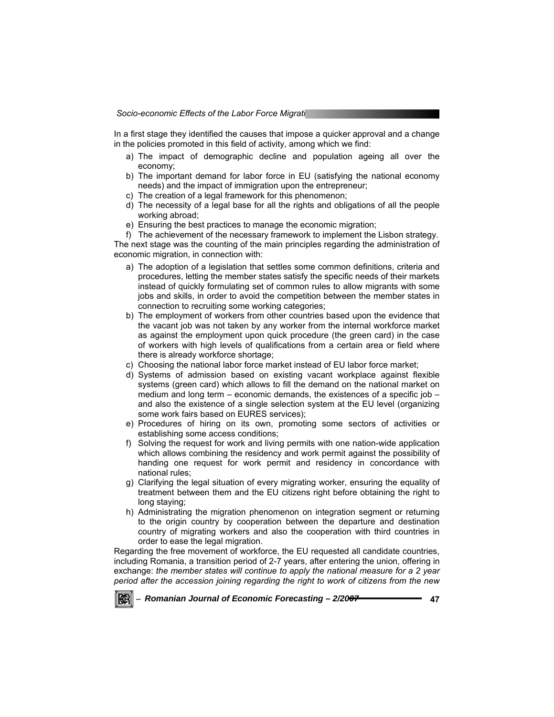In a first stage they identified the causes that impose a quicker approval and a change in the policies promoted in this field of activity, among which we find:

- a) The impact of demographic decline and population ageing all over the economy;
- b) The important demand for labor force in EU (satisfying the national economy needs) and the impact of immigration upon the entrepreneur;
- c) The creation of a legal framework for this phenomenon;
- d) The necessity of a legal base for all the rights and obligations of all the people working abroad;
- e) Ensuring the best practices to manage the economic migration;
- f) The achievement of the necessary framework to implement the Lisbon strategy.

The next stage was the counting of the main principles regarding the administration of economic migration, in connection with:

- a) The adoption of a legislation that settles some common definitions, criteria and procedures, letting the member states satisfy the specific needs of their markets instead of quickly formulating set of common rules to allow migrants with some jobs and skills, in order to avoid the competition between the member states in connection to recruiting some working categories;
- b) The employment of workers from other countries based upon the evidence that the vacant job was not taken by any worker from the internal workforce market as against the employment upon quick procedure (the green card) in the case of workers with high levels of qualifications from a certain area or field where there is already workforce shortage;
- c) Choosing the national labor force market instead of EU labor force market;
- d) Systems of admission based on existing vacant workplace against flexible systems (green card) which allows to fill the demand on the national market on medium and long term – economic demands, the existences of a specific job – and also the existence of a single selection system at the EU level (organizing some work fairs based on EURES services);
- e) Procedures of hiring on its own, promoting some sectors of activities or establishing some access conditions;
- f) Solving the request for work and living permits with one nation-wide application which allows combining the residency and work permit against the possibility of handing one request for work permit and residency in concordance with national rules;
- g) Clarifying the legal situation of every migrating worker, ensuring the equality of treatment between them and the EU citizens right before obtaining the right to long staying;
- h) Administrating the migration phenomenon on integration segment or returning to the origin country by cooperation between the departure and destination country of migrating workers and also the cooperation with third countries in order to ease the legal migration.

Regarding the free movement of workforce, the EU requested all candidate countries, including Romania, a transition period of 2-7 years, after entering the union, offering in exchange: *the member states will continue to apply the national measure for a 2 year period after the accession joining regarding the right to work of citizens from the new* 

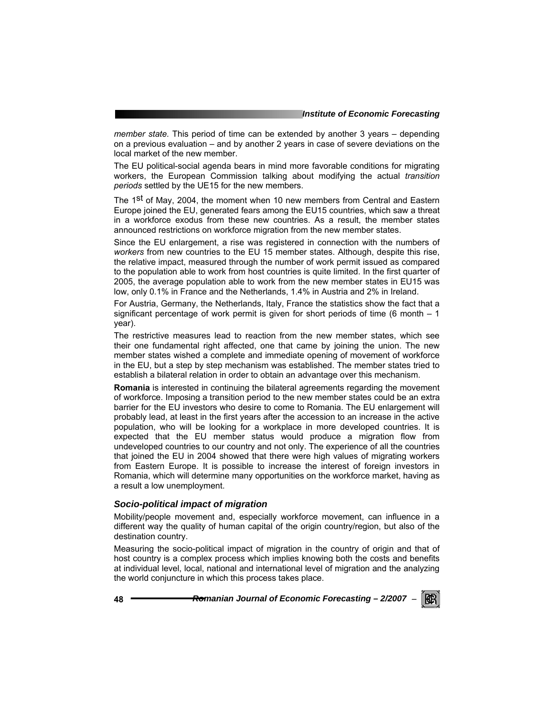*member state.* This period of time can be extended by another 3 years – depending on a previous evaluation – and by another 2 years in case of severe deviations on the local market of the new member.

The EU political-social agenda bears in mind more favorable conditions for migrating workers, the European Commission talking about modifying the actual *transition periods* settled by the UE15 for the new members.

The 1<sup>st</sup> of May, 2004, the moment when 10 new members from Central and Eastern Europe joined the EU, generated fears among the EU15 countries, which saw a threat in a workforce exodus from these new countries. As a result, the member states announced restrictions on workforce migration from the new member states.

Since the EU enlargement, a rise was registered in connection with the numbers of *workers* from new countries to the EU 15 member states. Although, despite this rise, the relative impact, measured through the number of work permit issued as compared to the population able to work from host countries is quite limited. In the first quarter of 2005, the average population able to work from the new member states in EU15 was low, only 0.1% in France and the Netherlands, 1.4% in Austria and 2% in Ireland.

For Austria, Germany, the Netherlands, Italy, France the statistics show the fact that a significant percentage of work permit is given for short periods of time (6 month  $-1$ year).

The restrictive measures lead to reaction from the new member states, which see their one fundamental right affected, one that came by joining the union. The new member states wished a complete and immediate opening of movement of workforce in the EU, but a step by step mechanism was established. The member states tried to establish a bilateral relation in order to obtain an advantage over this mechanism.

**Romania** is interested in continuing the bilateral agreements regarding the movement of workforce. Imposing a transition period to the new member states could be an extra barrier for the EU investors who desire to come to Romania. The EU enlargement will probably lead, at least in the first years after the accession to an increase in the active population, who will be looking for a workplace in more developed countries. It is expected that the EU member status would produce a migration flow from undeveloped countries to our country and not only. The experience of all the countries that joined the EU in 2004 showed that there were high values of migrating workers from Eastern Europe. It is possible to increase the interest of foreign investors in Romania, which will determine many opportunities on the workforce market, having as a result a low unemployment.

#### *Socio-political impact of migration*

Mobility/people movement and, especially workforce movement, can influence in a different way the quality of human capital of the origin country/region, but also of the destination country.

Measuring the socio-political impact of migration in the country of origin and that of host country is a complex process which implies knowing both the costs and benefits at individual level, local, national and international level of migration and the analyzing the world conjuncture in which this process takes place.

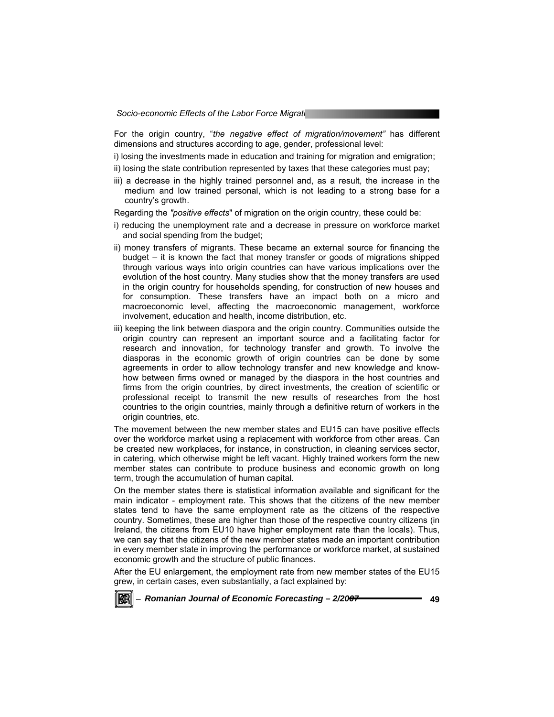For the origin country, "*the negative effect of migration/movement"* has different dimensions and structures according to age, gender, professional level:

i) losing the investments made in education and training for migration and emigration;

ii) losing the state contribution represented by taxes that these categories must pay;

iii) a decrease in the highly trained personnel and, as a result, the increase in the medium and low trained personal, which is not leading to a strong base for a country's growth.

Regarding the *"positive effects*" of migration on the origin country, these could be:

- i) reducing the unemployment rate and a decrease in pressure on workforce market and social spending from the budget;
- ii) money transfers of migrants. These became an external source for financing the budget – it is known the fact that money transfer or goods of migrations shipped through various ways into origin countries can have various implications over the evolution of the host country. Many studies show that the money transfers are used in the origin country for households spending, for construction of new houses and for consumption. These transfers have an impact both on a micro and macroeconomic level, affecting the macroeconomic management, workforce involvement, education and health, income distribution, etc.
- iii) keeping the link between diaspora and the origin country. Communities outside the origin country can represent an important source and a facilitating factor for research and innovation, for technology transfer and growth. To involve the diasporas in the economic growth of origin countries can be done by some agreements in order to allow technology transfer and new knowledge and knowhow between firms owned or managed by the diaspora in the host countries and firms from the origin countries, by direct investments, the creation of scientific or professional receipt to transmit the new results of researches from the host countries to the origin countries, mainly through a definitive return of workers in the origin countries, etc.

The movement between the new member states and EU15 can have positive effects over the workforce market using a replacement with workforce from other areas. Can be created new workplaces, for instance, in construction, in cleaning services sector, in catering, which otherwise might be left vacant. Highly trained workers form the new member states can contribute to produce business and economic growth on long term, trough the accumulation of human capital.

On the member states there is statistical information available and significant for the main indicator - employment rate. This shows that the citizens of the new member states tend to have the same employment rate as the citizens of the respective country. Sometimes, these are higher than those of the respective country citizens (in Ireland, the citizens from EU10 have higher employment rate than the locals). Thus, we can say that the citizens of the new member states made an important contribution in every member state in improving the performance or workforce market, at sustained economic growth and the structure of public finances.

After the EU enlargement, the employment rate from new member states of the EU15 grew, in certain cases, even substantially, a fact explained by:

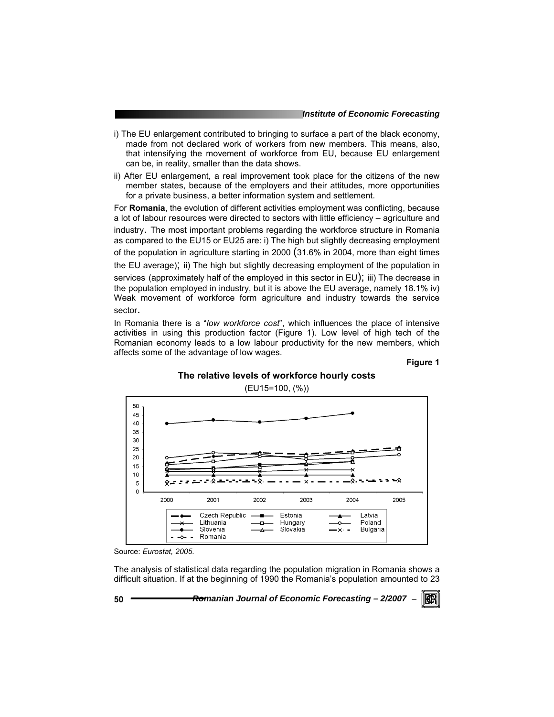- i) The EU enlargement contributed to bringing to surface a part of the black economy, made from not declared work of workers from new members. This means, also, that intensifying the movement of workforce from EU, because EU enlargement can be, in reality, smaller than the data shows.
- ii) After EU enlargement, a real improvement took place for the citizens of the new member states, because of the employers and their attitudes, more opportunities for a private business, a better information system and settlement.

For **Romania**, the evolution of different activities employment was conflicting, because a lot of labour resources were directed to sectors with little efficiency – agriculture and industry. The most important problems regarding the workforce structure in Romania as compared to the EU15 or EU25 are: i) The high but slightly decreasing employment of the population in agriculture starting in 2000 (31.6% in 2004, more than eight times the EU average); ii) The high but slightly decreasing employment of the population in services (approximately half of the employed in this sector in EU); iii) The decrease in the population employed in industry, but it is above the EU average, namely 18.1% iv) Weak movement of workforce form agriculture and industry towards the service sector.

In Romania there is a "*low workforce cost*", which influences the place of intensive activities in using this production factor (Figure 1). Low level of high tech of the Romanian economy leads to a low labour productivity for the new members, which affects some of the advantage of low wages.

**Figure 1** 

#### **The relative levels of workforce hourly costs**

(EU15=100, (%))



Source: *Eurostat, 2005.* 

The analysis of statistical data regarding the population migration in Romania shows a difficult situation. If at the beginning of 1990 the Romania's population amounted to 23

**50** *Romanian Journal of Economic Forecasting – 2/2007* <sup>−</sup>

KERI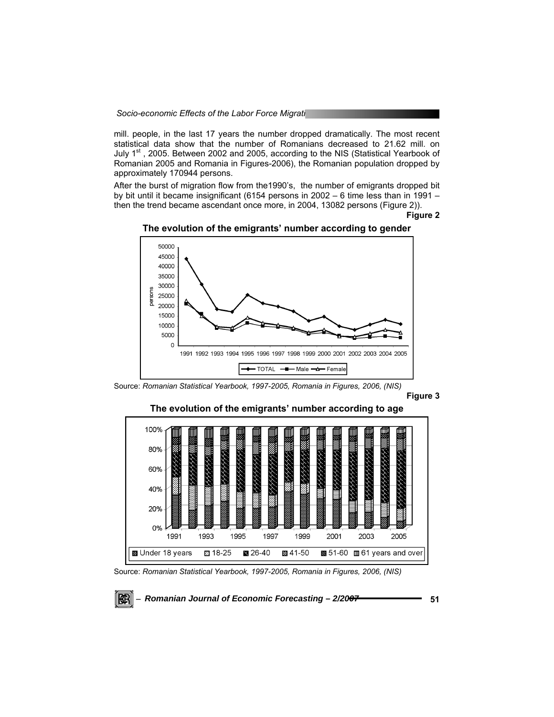mill. people, in the last 17 years the number dropped dramatically. The most recent statistical data show that the number of Romanians decreased to 21.62 mill. on July 1<sup>st</sup>, 2005. Between 2002 and 2005, according to the NIS (Statistical Yearbook of Romanian 2005 and Romania in Figures-2006), the Romanian population dropped by approximately 170944 persons.

After the burst of migration flow from the1990's, the number of emigrants dropped bit by bit until it became insignificant (6154 persons in 2002 – 6 time less than in 1991 – then the trend became ascendant once more, in 2004, 13082 persons (Figure 2)).

**Figure 2** 





**Figure 3** 



Source: *Romanian Statistical Yearbook, 1997-2005, Romania in Figures, 2006, (NIS)* 

KBI

Source: *Romanian Statistical Yearbook, 1997-2005, Romania in Figures, 2006, (NIS)*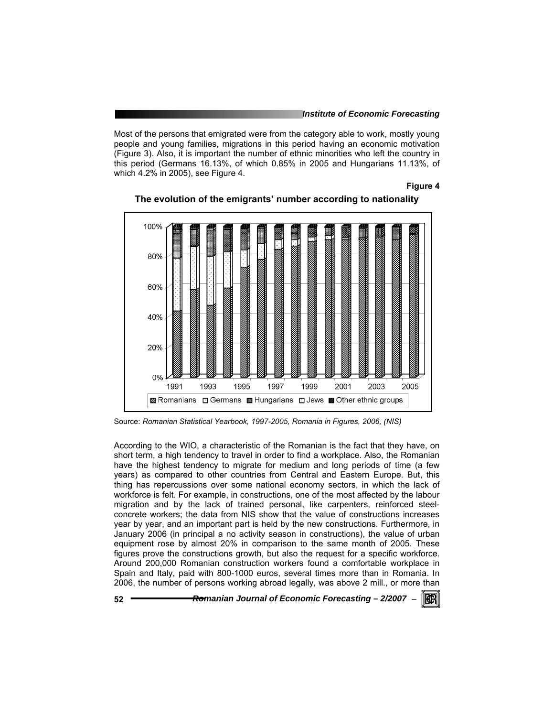Most of the persons that emigrated were from the category able to work, mostly young people and young families, migrations in this period having an economic motivation (Figure 3). Also, it is important the number of ethnic minorities who left the country in this period (Germans 16.13%, of which 0.85% in 2005 and Hungarians 11.13%, of which 4.2% in 2005), see Figure 4.

#### **Figure 4**





Source: *Romanian Statistical Yearbook, 1997-2005, Romania in Figures, 2006, (NIS)* 

According to the WIO, a characteristic of the Romanian is the fact that they have, on short term, a high tendency to travel in order to find a workplace. Also, the Romanian have the highest tendency to migrate for medium and long periods of time (a few years) as compared to other countries from Central and Eastern Europe. But, this thing has repercussions over some national economy sectors, in which the lack of workforce is felt. For example, in constructions, one of the most affected by the labour migration and by the lack of trained personal, like carpenters, reinforced steelconcrete workers; the data from NIS show that the value of constructions increases year by year, and an important part is held by the new constructions. Furthermore, in January 2006 (in principal a no activity season in constructions), the value of urban equipment rose by almost 20% in comparison to the same month of 2005. These figures prove the constructions growth, but also the request for a specific workforce. Around 200,000 Romanian construction workers found a comfortable workplace in Spain and Italy, paid with 800-1000 euros, several times more than in Romania. In 2006, the number of persons working abroad legally, was above 2 mill., or more than

**52** *Romanian Journal of Economic Forecasting – 2/2007* <sup>−</sup>

KB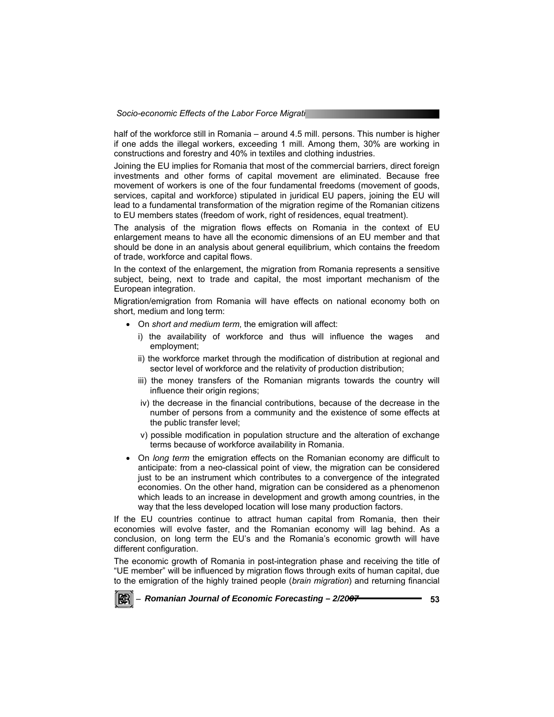half of the workforce still in Romania – around 4.5 mill. persons. This number is higher if one adds the illegal workers, exceeding 1 mill. Among them, 30% are working in constructions and forestry and 40% in textiles and clothing industries.

Joining the EU implies for Romania that most of the commercial barriers, direct foreign investments and other forms of capital movement are eliminated. Because free movement of workers is one of the four fundamental freedoms (movement of goods, services, capital and workforce) stipulated in juridical EU papers, joining the EU will lead to a fundamental transformation of the migration regime of the Romanian citizens to EU members states (freedom of work, right of residences, equal treatment).

The analysis of the migration flows effects on Romania in the context of EU enlargement means to have all the economic dimensions of an EU member and that should be done in an analysis about general equilibrium, which contains the freedom of trade, workforce and capital flows.

In the context of the enlargement, the migration from Romania represents a sensitive subject, being, next to trade and capital, the most important mechanism of the European integration.

Migration/emigration from Romania will have effects on national economy both on short, medium and long term:

- On *short and medium term*, the emigration will affect:
	- i) the availability of workforce and thus will influence the wages and employment;
	- ii) the workforce market through the modification of distribution at regional and sector level of workforce and the relativity of production distribution;
	- iii) the money transfers of the Romanian migrants towards the country will influence their origin regions;
	- iv) the decrease in the financial contributions, because of the decrease in the number of persons from a community and the existence of some effects at the public transfer level;
	- v) possible modification in population structure and the alteration of exchange terms because of workforce availability in Romania.
- On *long term* the emigration effects on the Romanian economy are difficult to anticipate: from a neo-classical point of view, the migration can be considered just to be an instrument which contributes to a convergence of the integrated economies. On the other hand, migration can be considered as a phenomenon which leads to an increase in development and growth among countries, in the way that the less developed location will lose many production factors.

If the EU countries continue to attract human capital from Romania, then their economies will evolve faster, and the Romanian economy will lag behind. As a conclusion, on long term the EU's and the Romania's economic growth will have different configuration.

The economic growth of Romania in post-integration phase and receiving the title of "UE member" will be influenced by migration flows through exits of human capital, due to the emigration of the highly trained people (*brain migration*) and returning financial

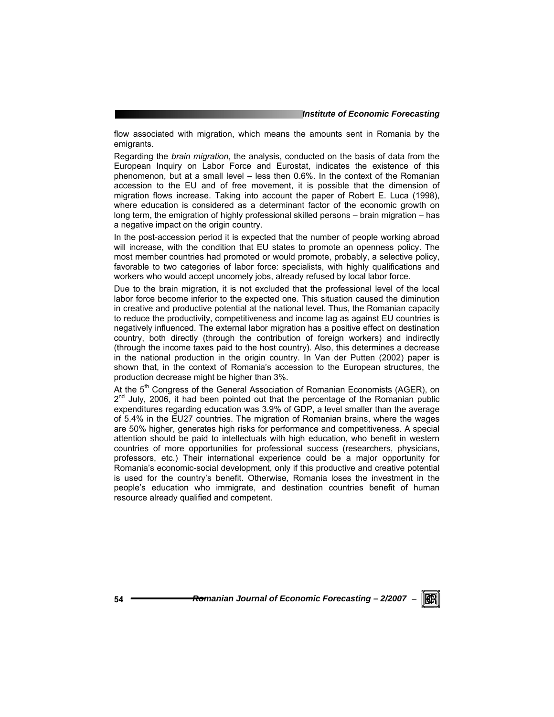flow associated with migration, which means the amounts sent in Romania by the emigrants.

Regarding the *brain migration*, the analysis, conducted on the basis of data from the European Inquiry on Labor Force and Eurostat, indicates the existence of this phenomenon, but at a small level – less then 0.6%. In the context of the Romanian accession to the EU and of free movement, it is possible that the dimension of migration flows increase. Taking into account the paper of Robert E. Luca (1998), where education is considered as a determinant factor of the economic growth on long term, the emigration of highly professional skilled persons – brain migration – has a negative impact on the origin country.

In the post-accession period it is expected that the number of people working abroad will increase, with the condition that EU states to promote an openness policy. The most member countries had promoted or would promote, probably, a selective policy, favorable to two categories of labor force: specialists, with highly qualifications and workers who would accept uncomely jobs, already refused by local labor force.

Due to the brain migration, it is not excluded that the professional level of the local labor force become inferior to the expected one. This situation caused the diminution in creative and productive potential at the national level. Thus, the Romanian capacity to reduce the productivity, competitiveness and income lag as against EU countries is negatively influenced. The external labor migration has a positive effect on destination country, both directly (through the contribution of foreign workers) and indirectly (through the income taxes paid to the host country). Also, this determines a decrease in the national production in the origin country. In Van der Putten (2002) paper is shown that, in the context of Romania's accession to the European structures, the production decrease might be higher than 3%.

At the 5<sup>th</sup> Congress of the General Association of Romanian Economists (AGER), on  $2^{nd}$  July, 2006, it had been pointed out that the percentage of the Romanian public expenditures regarding education was 3.9% of GDP, a level smaller than the average of 5.4% in the EU27 countries. The migration of Romanian brains, where the wages are 50% higher, generates high risks for performance and competitiveness. A special attention should be paid to intellectuals with high education, who benefit in western countries of more opportunities for professional success (researchers, physicians, professors, etc.) Their international experience could be a major opportunity for Romania's economic-social development, only if this productive and creative potential is used for the country's benefit. Otherwise, Romania loses the investment in the people's education who immigrate, and destination countries benefit of human resource already qualified and competent.

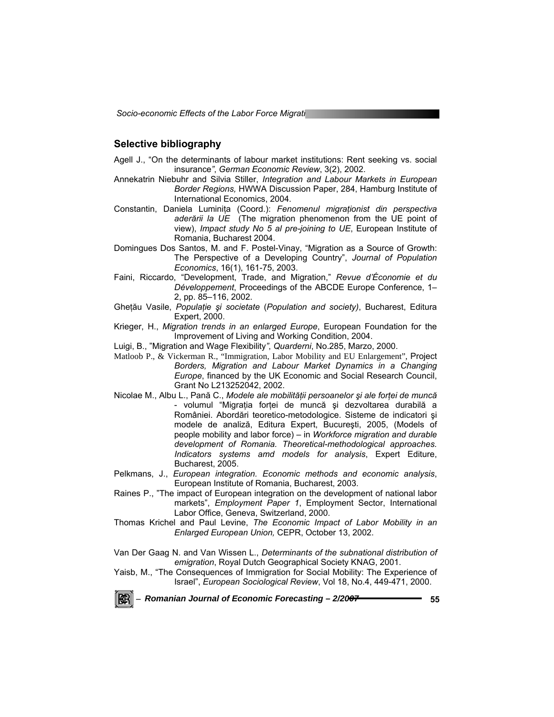*Socio-economic Effects of the Labor Force Migrati***on** 

## **Selective bibliography**

- Agell J., "On the determinants of labour market institutions: Rent seeking vs. social insurance*"*, *German Economic Review*, 3(2), 2002.
- Annekatrin Niebuhr and Silvia Stiller, *Integration and Labour Markets in European Border Regions,* HWWA Discussion Paper, 284, Hamburg Institute of International Economics, 2004.
- Constantin, Daniela Luminiţa (Coord.): *Fenomenul migraţionist din perspectiva aderării la UE* (The migration phenomenon from the UE point of view), *Impact study No 5 al pre-joining to UE*, European Institute of Romania, Bucharest 2004.
- Domingues Dos Santos, M. and F. Postel-Vinay, "Migration as a Source of Growth: The Perspective of a Developing Country", *Journal of Population Economics*, 16(1), 161-75, 2003.
- Faini, Riccardo, "Development, Trade, and Migration," *Revue d'Économie et du Développement*, Proceedings of the ABCDE Europe Conference, 1– 2, pp. 85–116, 2002.
- Gheţău Vasile, *Populaţie şi societate* (*Population and society)*, Bucharest, Editura Expert, 2000.
- Krieger, H., *Migration trends in an enlarged Europe*, European Foundation for the Improvement of Living and Working Condition, 2004.
- Luigi, B., "Migration and Wage Flexibility*"*, *Quarderni*, No.285, Marzo, 2000.
- Matloob P., & Vickerman R., "Immigration, Labor Mobility and EU Enlargement", Project *Borders, Migration and Labour Market Dynamics in a Changing Europe*, financed by the UK Economic and Social Research Council, Grant No L213252042, 2002.
- Nicolae M., Albu L., Pană C., *Modele ale mobilităţii persoanelor şi ale forţei de muncă* - volumul "Migrația forței de muncă și dezvoltarea durabilă a României. Abordări teoretico-metodologice. Sisteme de indicatori şi modele de analiză, Editura Expert, Bucureşti, 2005, (Models of people mobility and labor force) – in *Workforce migration and durable development of Romania. Theoretical-methodological approaches. Indicators systems amd models for analysis*, Expert Editure, Bucharest, 2005.
- Pelkmans, J., *European integration. Economic methods and economic analysis*, European Institute of Romania, Bucharest, 2003.
- Raines P., "The impact of European integration on the development of national labor markets", *Employment Paper 1*, Employment Sector, International Labor Office, Geneva, Switzerland, 2000.
- Thomas Krichel and Paul Levine, *The Economic Impact of Labor Mobility in an Enlarged European Union,* CEPR, October 13, 2002.
- Van Der Gaag N. and Van Wissen L., *Determinants of the subnational distribution of emigration*, Royal Dutch Geographical Society KNAG, 2001.
- Yaisb, M., "The Consequences of Immigration for Social Mobility: The Experience of Israel", *European Sociological Review*, Vol 18, No.4, 449-471, 2000.